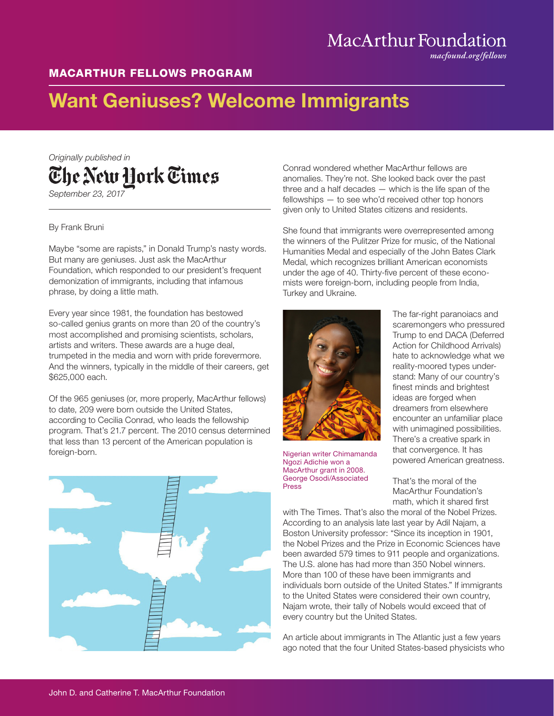## MacArthur Foundation

*macfound.org/fellows*

## MACARTHUR FELLOWS PROGRAM

## Want Geniuses? Welcome Immigrants

*Originally published in* The New Hork Times *September 23, 2017*

By Frank Bruni

Maybe "some are rapists," in Donald Trump's nasty words. But many are geniuses. Just ask the MacArthur Foundation, which responded to our president's frequent demonization of immigrants, including that infamous phrase, by doing a little math.

Every year since 1981, the foundation has bestowed so-called genius grants on more than 20 of the country's most accomplished and promising scientists, scholars, artists and writers. These awards are a huge deal, trumpeted in the media and worn with pride forevermore. And the winners, typically in the middle of their careers, get \$625,000 each.

Of the 965 geniuses (or, more properly, MacArthur fellows) to date, 209 were born outside the United States, according to Cecilia Conrad, who leads the fellowship program. That's 21.7 percent. The 2010 census determined that less than 13 percent of the American population is foreign-born.



Conrad wondered whether MacArthur fellows are anomalies. They're not. She looked back over the past three and a half decades — which is the life span of the fellowships — to see who'd received other top honors given only to United States citizens and residents.

She found that immigrants were overrepresented among the winners of the Pulitzer Prize for music, of the National Humanities Medal and especially of the John Bates Clark Medal, which recognizes brilliant American economists under the age of 40. Thirty-five percent of these economists were foreign-born, including people from India, Turkey and Ukraine.



Nigerian writer Chimamanda Ngozi Adichie won a MacArthur grant in 2008. George Osodi/Associated Press

The far-right paranoiacs and scaremongers who pressured Trump to end DACA (Deferred Action for Childhood Arrivals) hate to acknowledge what we reality-moored types understand: Many of our country's finest minds and brightest ideas are forged when dreamers from elsewhere encounter an unfamiliar place with unimagined possibilities. There's a creative spark in that convergence. It has powered American greatness.

That's the moral of the MacArthur Foundation's math, which it shared first

with The Times. That's also the moral of the Nobel Prizes. According to an analysis late last year by Adil Najam, a Boston University professor: "Since its inception in 1901, the Nobel Prizes and the Prize in Economic Sciences have been awarded 579 times to 911 people and organizations. The U.S. alone has had more than 350 Nobel winners. More than 100 of these have been immigrants and individuals born outside of the United States." If immigrants to the United States were considered their own country, Najam wrote, their tally of Nobels would exceed that of every country but the United States.

An article about immigrants in The Atlantic just a few years ago noted that the four United States-based physicists who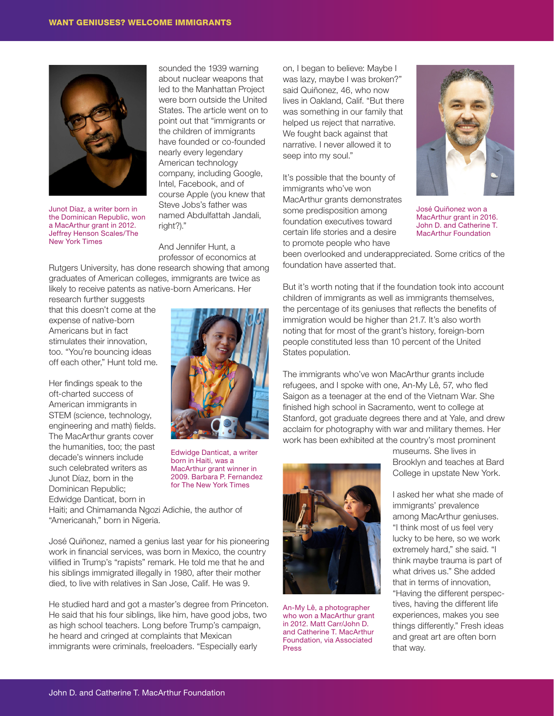

Junot Díaz, a writer born in the Dominican Republic, won a MacArthur grant in 2012. Jeffrey Henson Scales/The New York Times

sounded the 1939 warning about nuclear weapons that led to the Manhattan Project were born outside the United States. The article went on to point out that "immigrants or the children of immigrants have founded or co-founded nearly every legendary American technology company, including Google, Intel, Facebook, and of course Apple (you knew that Steve Jobs's father was named Abdulfattah Jandali, right?)."

And Jennifer Hunt, a professor of economics at

Rutgers University, has done research showing that among graduates of American colleges, immigrants are twice as likely to receive patents as native-born Americans. Her

research further suggests that this doesn't come at the expense of native-born Americans but in fact stimulates their innovation, too. "You're bouncing ideas off each other," Hunt told me.

Her findings speak to the oft-charted success of American immigrants in STEM (science, technology, engineering and math) fields. The MacArthur grants cover the humanities, too; the past decade's winners include such celebrated writers as Junot Díaz, born in the Dominican Republic; Edwidge Danticat, born in



Edwidge Danticat, a writer born in Haiti, was a MacArthur grant winner in 2009. Barbara P. Fernandez for The New York Times

Haiti; and Chimamanda Ngozi Adichie, the author of "Americanah," born in Nigeria.

José Quiñonez, named a genius last year for his pioneering work in financial services, was born in Mexico, the country vilified in Trump's "rapists" remark. He told me that he and his siblings immigrated illegally in 1980, after their mother died, to live with relatives in San Jose, Calif. He was 9.

He studied hard and got a master's degree from Princeton. He said that his four siblings, like him, have good jobs, two as high school teachers. Long before Trump's campaign, he heard and cringed at complaints that Mexican immigrants were criminals, freeloaders. "Especially early

on, I began to believe: Maybe I was lazy, maybe I was broken?" said Quiñonez, 46, who now lives in Oakland, Calif. "But there was something in our family that helped us reject that narrative. We fought back against that narrative. I never allowed it to seep into my soul."

It's possible that the bounty of immigrants who've won MacArthur grants demonstrates some predisposition among foundation executives toward certain life stories and a desire to promote people who have



José Quiñonez won a MacArthur grant in 2016. John D. and Catherine T. MacArthur Foundation

been overlooked and underappreciated. Some critics of the foundation have asserted that.

But it's worth noting that if the foundation took into account children of immigrants as well as immigrants themselves, the percentage of its geniuses that reflects the benefits of immigration would be higher than 21.7. It's also worth noting that for most of the grant's history, foreign-born people constituted less than 10 percent of the United States population.

The immigrants who've won MacArthur grants include refugees, and I spoke with one, An-My Lê, 57, who fled Saigon as a teenager at the end of the Vietnam War. She finished high school in Sacramento, went to college at Stanford, got graduate degrees there and at Yale, and drew acclaim for photography with war and military themes. Her work has been exhibited at the country's most prominent



An-My Lê, a photographer who won a MacArthur grant in 2012. Matt Carr/John D. and Catherine T. MacArthur Foundation, via Associated Press

museums. She lives in Brooklyn and teaches at Bard College in upstate New York.

I asked her what she made of immigrants' prevalence among MacArthur geniuses. "I think most of us feel very lucky to be here, so we work extremely hard," she said. "I think maybe trauma is part of what drives us." She added that in terms of innovation, "Having the different perspectives, having the different life experiences, makes you see things differently." Fresh ideas and great art are often born that way.